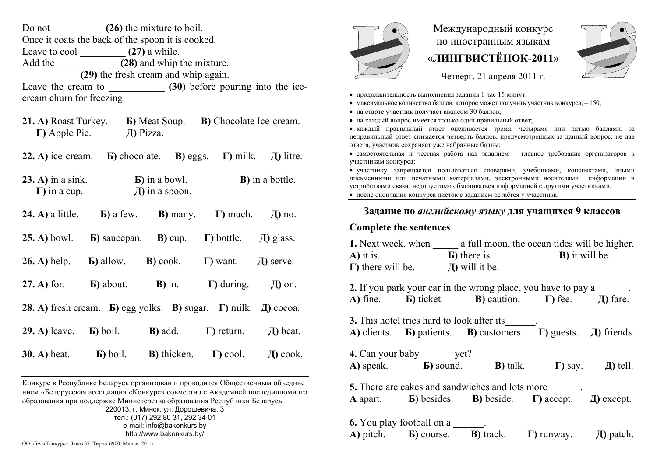| Do not                                | (26) the mixture to boil.                         |  |  |  |
|---------------------------------------|---------------------------------------------------|--|--|--|
|                                       | Once it coats the back of the spoon it is cooked. |  |  |  |
| Leave to cool                         | $(27)$ a while.                                   |  |  |  |
| (28) and whip the mixture.<br>Add the |                                                   |  |  |  |
|                                       | (29) the fresh cream and whip again.              |  |  |  |
| Leave the cream to                    | (30) before pouring into the ice-                 |  |  |  |
| cream churn for freezing.             |                                                   |  |  |  |

- **21. А)** Roast Turkey. **Б)** Meat Soup. **В)** Chocolate Ice-cream. **Г)** Apple Pie. **Д)** Pizza.
- **22.А)** ice-cream. **Б)** chocolate. **В)** eggs. **Г)** milk. **Д)** litre.
- **23. А)** in a sink. **Б)** in a bowl. **В)** in a bottle. **Г)** in a cup. **Д)** in a spoon.
- **24. А)** a little. **Б)** a few. **В)** many. **Г)** much. **Д)** no.
- **25. А)** bowl. **Б)** saucepan. **В)** cup. **Г)** bottle. **Д)** glass.
- **26. А)** help. **Б)** allow. **В)** cook. **Г)** want. **Д)** serve.
- **27. А)** for. **Б)** about. **В)** in. **Г)** during. **Д)** on.
- **28. А)** fresh cream. **Б)** egg yolks. **В)** sugar. **Г)** milk. **Д)** cocoa.
- **29. А)** leave. **Б)** boil. **В)** add. **Г)** return. **Д)** beat.
- **30. А)** heat. **Б)** boil. **В)** thicken. **Г)** cool. **Д)** cook.

Конкурс <sup>в</sup> Республике Беларусь организован и проводится Общественным объедине нием «Белорусская ассоциация «Конкурс» совместно <sup>с</sup> Академией последипломного образования при поддержке Министерства образования Республики Беларусь. 220013, <sup>г</sup>. Минск, ул. Дорошевича, 3 тел.: (017) 292 80 31, 292 34 01 e-mail: info@bakonkurs.by http://www.bakonkurs.by/

ОО «БА «Конкурс». Заказ 37. Тираж 6900. Минск. 2011<sup>г</sup>.



## Международный конкурс по иностранным языкам **«ЛИНГВИСТЁНОК-2011»**



Четверг, 21 апреля 2011 г.

- продолжительность выполнения задания 1 час 15 минут;
- максимальное количество баллов, которое может получить участник конкурса,  $-150$ ;
- на старте участник получает авансом 30 баллов;
- на каждый вопрос имеется только один правильный ответ;

 каждый правильный ответ оценивается тремя, четырьмя или пятью баллами; за неправильный ответ снимается четверть баллов, предусмотренных за данный вопрос; не дав ответа, участник сохраняет уже набранные баллы;

 самостоятельная и честная работа над заданием – главное требование организаторов <sup>к</sup> участникам конкурса;

 участнику запрещается пользоваться словарями, учебниками, конспектами, иными письменными или печатными материалами, электронными носителями информации <sup>и</sup> устройствами связи; недопустимо обмениваться информацией <sup>с</sup> другими участниками;

после окончания конкурса листок <sup>с</sup> заданием остаётся у участника.

## **Задание по** *английскому языку* **для учащихся 9 классов**

## **Complete the sentences**

|                           |                                           | <b>1.</b> Next week, when a full moon, the ocean tides will be higher.                                                                                  |                |
|---------------------------|-------------------------------------------|---------------------------------------------------------------------------------------------------------------------------------------------------------|----------------|
| $\bf{A}$ ) it is.         |                                           | <b>B</b> ) it will be.                                                                                                                                  |                |
| $\Gamma$ ) there will be. |                                           | $\pi$ ) will it be.                                                                                                                                     |                |
|                           |                                           | 2. If you park your car in the wrong place, you have to pay a ______.<br>A) fine. <b>b</b> ) ticket. <b>B</b> ) caution. $\Gamma$ ) fee. $\Box$ fare.   |                |
|                           |                                           | 3. This hotel tries hard to look after its_______.<br>A) clients. <b>b</b> ) patients. <b>B</b> ) customers. $\Gamma$ ) guests. $\Box$ ) friends.       |                |
|                           | 4. Can your baby ________ yet?            | A) speak. <b>b</b> ) sound. <b>b</b> ) talk. <b>h</b> ) say. $\Box$ [1] tell.                                                                           |                |
|                           |                                           | <b>5.</b> There are cakes and sandwiches and lots more ______.<br>A apart. <b>b</b> ) besides. <b>b</b> ) beside. <b>c</b> ) accept. <b>h</b> ) except. |                |
|                           | <b>6.</b> You play football on a _______. | A) pitch. <b>b</b> ) course. <b>b</b> ) track. <b>c</b> ) runway.                                                                                       | $\pi$ ) patch. |